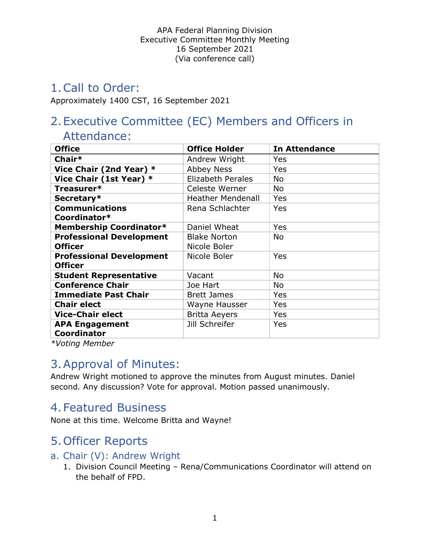# 1.Call to Order:

Approximately 1400 CST, 16 September 2021

# 2.Executive Committee (EC) Members and Officers in

### Attendance:

| <b>Office</b>                               | <b>Office Holder</b>     | <b>In Attendance</b> |
|---------------------------------------------|--------------------------|----------------------|
| Chair*                                      | Andrew Wright            | Yes                  |
| Vice Chair (2nd Year) *                     | <b>Abbey Ness</b>        | Yes                  |
| Vice Chair (1st Year) *                     | <b>Elizabeth Perales</b> | No                   |
| Treasurer*                                  | Celeste Werner           | No                   |
| Secretary*                                  | <b>Heather Mendenall</b> | Yes                  |
| <b>Communications</b>                       | Rena Schlachter          | Yes                  |
| Coordinator*                                |                          |                      |
| <b>Membership Coordinator*</b>              | Daniel Wheat             | Yes                  |
| <b>Professional Development</b>             | <b>Blake Norton</b>      | <b>No</b>            |
| <b>Officer</b>                              | Nicole Boler             |                      |
| <b>Professional Development</b>             | Nicole Boler             | Yes                  |
| <b>Officer</b>                              |                          |                      |
| <b>Student Representative</b>               | Vacant                   | <b>No</b>            |
| <b>Conference Chair</b>                     | Joe Hart                 | No                   |
| <b>Immediate Past Chair</b>                 | <b>Brett James</b>       | Yes                  |
| <b>Chair elect</b>                          | Wayne Hausser            | Yes                  |
| <b>Vice-Chair elect</b>                     | <b>Britta Aeyers</b>     | Yes                  |
| <b>APA Engagement</b><br><b>Coordinator</b> | Jill Schreifer           | Yes                  |

\*Voting Member

### 3.Approval of Minutes:

Andrew Wright motioned to approve the minutes from August minutes. Daniel second. Any discussion? Vote for approval. Motion passed unanimously.

### 4.Featured Business

None at this time. Welcome Britta and Wayne!

# 5.Officer Reports

#### a. Chair (V): Andrew Wright

1. Division Council Meeting – Rena/Communications Coordinator will attend on the behalf of FPD.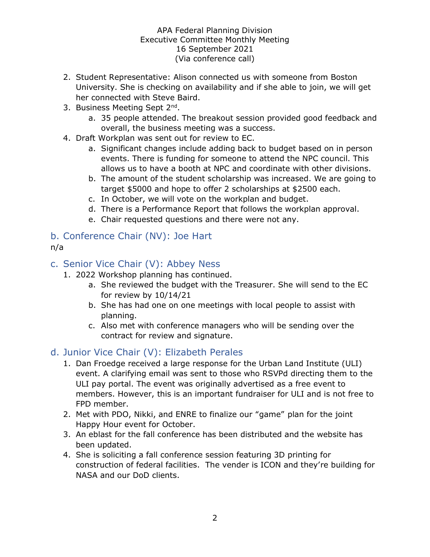- 2. Student Representative: Alison connected us with someone from Boston University. She is checking on availability and if she able to join, we will get her connected with Steve Baird.
- 3. Business Meeting Sept 2<sup>nd</sup>.
	- a. 35 people attended. The breakout session provided good feedback and overall, the business meeting was a success.
- 4. Draft Workplan was sent out for review to EC.
	- a. Significant changes include adding back to budget based on in person events. There is funding for someone to attend the NPC council. This allows us to have a booth at NPC and coordinate with other divisions.
	- b. The amount of the student scholarship was increased. We are going to target \$5000 and hope to offer 2 scholarships at \$2500 each.
	- c. In October, we will vote on the workplan and budget.
	- d. There is a Performance Report that follows the workplan approval.
	- e. Chair requested questions and there were not any.

## b. Conference Chair (NV): Joe Hart

#### n/a

- c. Senior Vice Chair (V): Abbey Ness
	- 1. 2022 Workshop planning has continued.
		- a. She reviewed the budget with the Treasurer. She will send to the EC for review by 10/14/21
		- b. She has had one on one meetings with local people to assist with planning.
		- c. Also met with conference managers who will be sending over the contract for review and signature.

#### d. Junior Vice Chair (V): Elizabeth Perales

- 1. Dan Froedge received a large response for the Urban Land Institute (ULI) event. A clarifying email was sent to those who RSVPd directing them to the ULI pay portal. The event was originally advertised as a free event to members. However, this is an important fundraiser for ULI and is not free to FPD member.
- 2. Met with PDO, Nikki, and ENRE to finalize our "game" plan for the joint Happy Hour event for October.
- 3. An eblast for the fall conference has been distributed and the website has been updated.
- 4. She is soliciting a fall conference session featuring 3D printing for construction of federal facilities. The vender is ICON and they're building for NASA and our DoD clients.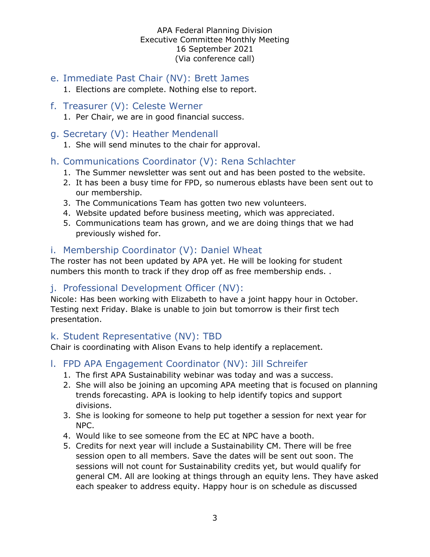- e. Immediate Past Chair (NV): Brett James
	- 1. Elections are complete. Nothing else to report.
- f. Treasurer (V): Celeste Werner 1. Per Chair, we are in good financial success.
- g. Secretary (V): Heather Mendenall
	- 1. She will send minutes to the chair for approval.
- h. Communications Coordinator (V): Rena Schlachter
	- 1. The Summer newsletter was sent out and has been posted to the website.
	- 2. It has been a busy time for FPD, so numerous eblasts have been sent out to our membership.
	- 3. The Communications Team has gotten two new volunteers.
	- 4. Website updated before business meeting, which was appreciated.
	- 5. Communications team has grown, and we are doing things that we had previously wished for.

#### i. Membership Coordinator (V): Daniel Wheat

The roster has not been updated by APA yet. He will be looking for student numbers this month to track if they drop off as free membership ends. .

#### j. Professional Development Officer (NV):

Nicole: Has been working with Elizabeth to have a joint happy hour in October. Testing next Friday. Blake is unable to join but tomorrow is their first tech presentation.

#### k. Student Representative (NV): TBD

Chair is coordinating with Alison Evans to help identify a replacement.

- l. FPD APA Engagement Coordinator (NV): Jill Schreifer
	- 1. The first APA Sustainability webinar was today and was a success.
	- 2. She will also be joining an upcoming APA meeting that is focused on planning trends forecasting. APA is looking to help identify topics and support divisions.
	- 3. She is looking for someone to help put together a session for next year for NPC.
	- 4. Would like to see someone from the EC at NPC have a booth.
	- 5. Credits for next year will include a Sustainability CM. There will be free session open to all members. Save the dates will be sent out soon. The sessions will not count for Sustainability credits yet, but would qualify for general CM. All are looking at things through an equity lens. They have asked each speaker to address equity. Happy hour is on schedule as discussed